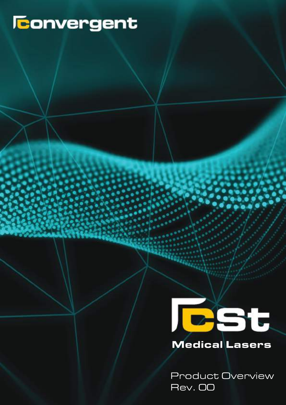# **Teonvergent**



Product Overview Rev.00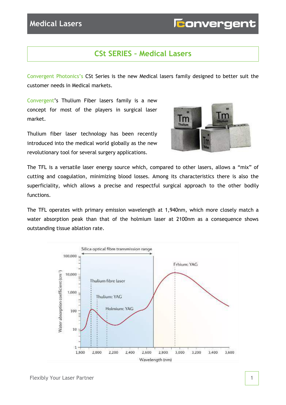## **CSt SERIES – Medical Lasers**

Convergent Photonics's CSt Series is the new Medical lasers family designed to better suit the customer needs in Medical markets.

Convergent's Thulium Fiber lasers family is a new concept for most of the players in surgical laser market.

Thulium fiber laser technology has been recently introduced into the medical world globally as the new revolutionary tool for several surgery applications.



The TFL is a versatile laser energy source which, compared to other lasers, allows a "mix" of cutting and coagulation, minimizing blood losses. Among its characteristics there is also the superficiality, which allows a precise and respectful surgical approach to the other bodily functions.

The TFL operates with primary emission wavelength at 1,940nm, which more closely match a water absorption peak than that of the holmium laser at 2100nm as a consequence shows outstanding tissue ablation rate.

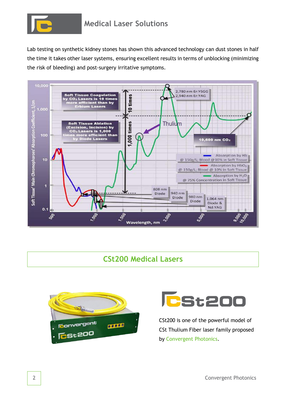

Lab testing on synthetic kidney stones has shown this advanced technology can dust stones in half the time it takes other laser systems, ensuring excellent results in terms of unblocking (minimizing the risk of bleeding) and post-surgery irritative symptoms.



#### **CSt200 Medical Lasers**





CSt200 is one of the powerful model of CSt Thulium Fiber laser family proposed by Convergent Photonics.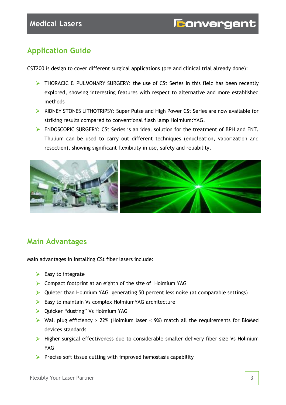# **Application Guide**

CST200 is design to cover different surgical applications (pre and clinical trial already done):

- $\triangleright$  THORACIC & PULMONARY SURGERY: the use of CSt Series in this field has been recently explored, showing interesting features with respect to alternative and more established methods
- ▶ KIDNEY STONES LITHOTRIPSY: Super Pulse and High Power CSt Series are now available for striking results compared to conventional flash lamp Holmium:YAG.
- ENDOSCOPIC SURGERY: CSt Series is an ideal solution for the treatment of BPH and ENT. Thulium can be used to carry out different techniques (enucleation, vaporization and resection), showing significant flexibility in use, safety and reliability.



#### **Main Advantages**

Main advantages in installing CSt fiber lasers include:

- $\triangleright$  Easy to integrate
- Compact footprint at an eighth of the size of Holmium YAG
- $\triangleright$  Quieter than Holmium YAG generating 50 percent less noise (at comparable settings)
- $\triangleright$  Easy to maintain Vs complex Holmium YAG architecture
- ▶ Quicker "dusting" Vs Holmium YAG
- $\triangleright$  Wall plug efficiency > 22% (Holmium laser < 9%) match all the requirements for BioMed devices standards
- Higher surgical effectiveness due to considerable smaller delivery fiber size Vs Holmium YAG
- $\triangleright$  Precise soft tissue cutting with improved hemostasis capability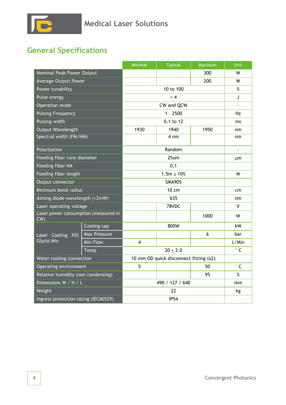# **General Specifications**

|                                            |                     | Minimal                                | <b>Typical</b> | Maximum | Unit         |
|--------------------------------------------|---------------------|----------------------------------------|----------------|---------|--------------|
| Nominal Peak Power Output                  |                     |                                        |                | 300     | W            |
| <b>Average Output Power</b>                |                     |                                        |                | 200     | W            |
| Power tunability                           |                     | 10 to 100                              |                |         | %            |
| Pulse energy                               |                     | $\langle 4$                            |                |         | J            |
| Operation mode                             |                     | CW and QCW                             |                |         |              |
| <b>Pulsing Frequency</b>                   |                     | $1 - 2500$                             |                |         | Hz           |
| Pulsing width                              |                     | 0.1 to 12                              |                |         | ms           |
| Output Wavelength                          |                     | 1930                                   | 1940           | 1950    | nm           |
| Spectral width (FM/HM)                     |                     |                                        | $4 \text{ nm}$ |         | nm           |
| Polarization                               |                     | Random                                 |                |         |              |
| Feeding fiber core diameter                |                     | 25um                                   |                |         | $\mu$ m      |
| Feeding fiber NA                           |                     | 0,1                                    |                |         |              |
| Feeding fiber length                       |                     | $1.5m \pm 10%$                         |                |         | M            |
| Output connector                           |                     | <b>SMA905</b>                          |                |         |              |
| Minimum bend radius                        |                     | $10 \text{ cm}$                        |                |         | cm           |
| Aiming diode wavelength (<2mW)             |                     | 635                                    |                |         | nm           |
| Laser operating voltage                    |                     |                                        | 78VDC          |         | v            |
| Laser power consumption (measured in<br>CW |                     |                                        |                | 1000    | W            |
| Laser Cooling 35%<br><b>Glycol Mix</b>     | Cooling cap         | 800W                                   |                |         | kW           |
|                                            | <b>Max Pressure</b> |                                        |                | 6       | bar          |
|                                            | Min Flow            | $\overline{4}$                         |                |         | L/Min        |
|                                            | Temp                | $20 + 2.0$                             |                |         | $^{\circ}$ C |
| Water cooling connection                   |                     | 10 mm OD quick disconnect fitting (x2) |                |         |              |
| Operating environment                      |                     | 5                                      |                | 50      | $^{\circ}$ C |
| Relative humidity (non condensing)         |                     |                                        |                | 95      | $\%$         |
| Dimensions W / H / L                       |                     | 490 / 127 / 640                        |                |         | mm           |
| Weight                                     |                     | 22                                     |                |         | kg           |
| Ingress protection rating (IEC60529)       |                     | <b>IP54</b>                            |                |         |              |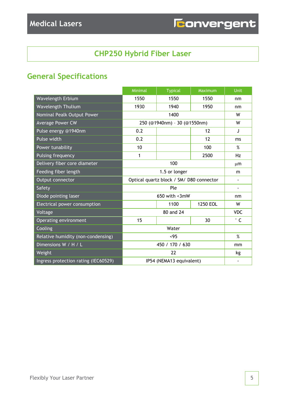# **CHP250 Hybrid Fiber Laser**

# **General Specifications**

|                                      | Minimal                                  | <b>Typical</b> | Maximum  | Unit           |
|--------------------------------------|------------------------------------------|----------------|----------|----------------|
| Wavelength Erbium                    | 1550                                     | 1550           | 1550     | nm             |
| Wavelength Thulium                   | 1930                                     | 1940           | 1950     | nm             |
| Nominal Pealk Output Power           | 1400                                     |                |          | W              |
| <b>Average Power CW</b>              | 250 (@1940nm) - 30 (@1550nm)             |                | W        |                |
| Pulse energy @1940nm                 | 0.2                                      |                | 12       | J              |
| Pulse width                          | 0.2                                      |                | 12       | ms             |
| Power tunability                     | 10                                       |                | 100      | %              |
| Pulsing frequency                    | 1                                        |                | 2500     | Hz             |
| Delivery fiber core diameter         | 100                                      |                |          | μm             |
| Feeding fiber length                 | 1.5 or longer                            |                |          | m              |
| Output connector                     | Optical quartz block / SM/ D80 connector |                |          |                |
| Safety                               |                                          | Ple            |          | $\blacksquare$ |
| Diode pointing laser                 | 650 with $\langle 3mW$                   |                |          | nm             |
| Electrical power consumption         |                                          | 1100           | 1250 EOL | W              |
| Voltage                              | 80 and 24                                |                |          | <b>VDC</b>     |
| Operating environment                | 15                                       |                | 30       | $^{\circ}$ C   |
| Cooling                              | Water                                    |                |          |                |
| Relative humidity (non-condensing)   | <95                                      |                |          | %              |
| Dimensions W / H / L                 | 450 / 170 / 630                          |                |          | mm             |
| Weight                               | 22                                       |                |          | kg             |
| Ingress protection rating (IEC60529) | IP54 (NEMA13 equivalent)                 |                |          |                |